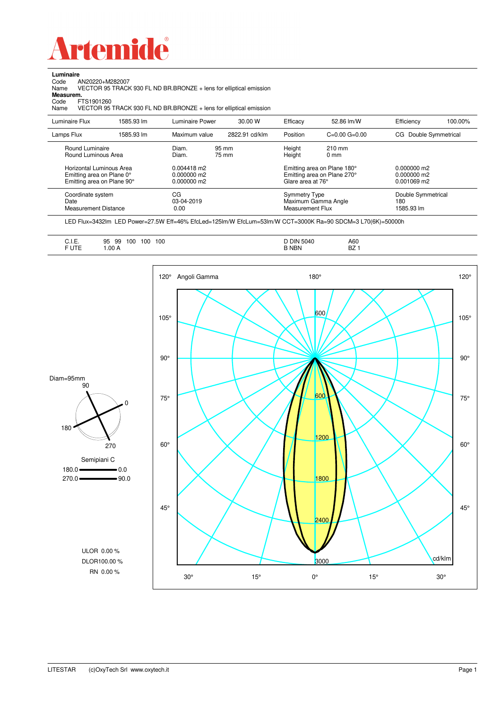

Code AN20220+M282007 Name VECTOR 95 TRACK 930 FL ND BR.BRONZE + lens for elliptical emission

**Luminaire**<br>Code *A*<br>Name \

**Measurem.**

| Code<br>Name   | FTS1901260<br>VECTOR 95 TRACK 930 FL ND BR.BRONZE + lens for elliptical emission    |                                               |                |                                          |                                                            |                                             |         |
|----------------|-------------------------------------------------------------------------------------|-----------------------------------------------|----------------|------------------------------------------|------------------------------------------------------------|---------------------------------------------|---------|
| Luminaire Flux | 1585.93 lm                                                                          | Luminaire Power                               | 30.00 W        | Efficacy                                 | 52.86 lm/W                                                 | Efficiency                                  | 100.00% |
| Lamps Flux     | 1585.93 lm                                                                          | Maximum value                                 | 2822.91 cd/klm | Position                                 | $C=0.00$ $G=0.00$                                          | CG Double Symmetrical                       |         |
|                | Round Luminaire<br>Round Luminous Area                                              | Diam.<br>Diam.                                | 95 mm<br>75 mm | Height<br>Height                         | $210$ mm<br>0 <sub>mm</sub>                                |                                             |         |
|                | Horizontal Luminous Area<br>Emitting area on Plane 0°<br>Emitting area on Plane 90° | $0.004418$ m2<br>0.000000 m2<br>$0.000000$ m2 |                | Glare area at 76°                        | Emitting area on Plane 180°<br>Emitting area on Plane 270° | $0.000000$ m2<br>0.000000 m2<br>0.001069 m2 |         |
| Date           | Coordinate system<br><b>Measurement Distance</b>                                    | CG<br>03-04-2019<br>0.00                      |                | <b>Symmetry Type</b><br>Measurement Flux | Maximum Gamma Angle                                        | Double Symmetrical<br>180<br>1585.93 lm     |         |

LED Flux=3432lm LED Power=27.5W Eff=46% EfcLed=125lm/W EfcLum=53lm/W CCT=3000K Ra=90 SDCM=3 L70(6K)=50000h

|--|